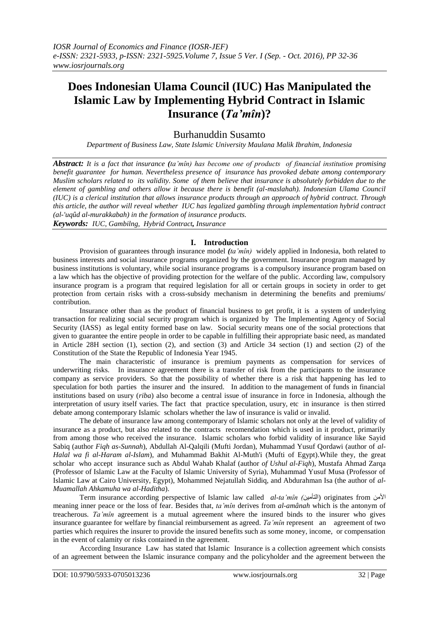# **Does Indonesian Ulama Council (IUC) Has Manipulated the Islamic Law by Implementing Hybrid Contract in Islamic Insurance (***Ta'mîn***)?**

# Burhanuddin Susamto

*Department of Business Law, State Islamic University Maulana Malik Ibrahim, Indonesia*

*Abstract: It is a fact that insurance (ta'mîn) has become one of products of financial institution promising benefit guarantee for human. Nevertheless presence of insurance has provoked debate among contemporary Muslim scholars related to its validity. Some of them believe that insurance is absolutely forbidden due to the element of gambling and others allow it because there is benefit (al-maslahah). Indonesian Ulama Council (IUC) is a clerical institution that allows insurance products through an approach of hybrid contract. Through this article, the author will reveal whether IUC has legalized gambling through implementation hybrid contract (al-'uqûd al-murakkabah) in the formation of insurance products.*

*Keywords: IUC, Gambilng, Hybrid Contract, Insurance*

## **I. Introduction**

Provision of guarantees through insurance model *(ta'mîn)* widely applied in Indonesia, both related to business interests and social insurance programs organized by the government. Insurance program managed by business institutions is voluntary, while social insurance programs is a compulsory insurance program based on a law which has the objective of providing protection for the welfare of the public. According law, compulsory insurance program is a program that required legislation for all or certain groups in society in order to get protection from certain risks with a cross-subsidy mechanism in determining the benefits and premiums/ contribution.

Insurance other than as the product of financial business to get profit, it is a system of underlying transaction for realizing social security program which is organized by The Implementing Agency of Social Security (IASS) as legal entity formed base on law. Social security means one of the social protections that given to guarantee the entire people in order to be capable in fulfilling their appropriate basic need, as mandated in Article 28H section (1), section (2), and section (3) and Article 34 section (1) and section (2) of the Constitution of the State the Republic of Indonesia Year 1945.

The main characteristic of insurance is premium payments as compensation for services of underwriting risks. In insurance agreement there is a transfer of risk from the participants to the insurance company as service providers. So that the possibility of whether there is a risk that happening has led to speculation for both parties the insurer and the insured. In addition to the management of funds in financial institutions based on usury (*riba*) also become a central issue of insurance in force in Indonesia, although the interpretation of usury itself varies. The fact that practice speculation, usury, etc in insurance is then stirred debate among contemporary Islamic scholars whether the law of insurance is valid or invalid.

The debate of insurance law among contemporary of Islamic scholars not only at the level of validity of insurance as a product, but also related to the contracts recomendation which is used in it product, primarily from among those who received the insurance. Islamic scholars who forbid validity of insurance like Sayid Sabiq (author *Fiqh as-Sunnah*), Abdullah Al-Qalqili (Mufti Jordan), Muhammad Yusuf Qordawi (author of *al-Halal wa fi al-Haram al-Islam*), and Muhammad Bakhit Al-Muth'i (Mufti of Egypt).While they, the great scholar who accept insurance such as Abdul Wahab Khalaf (author *of Ushul al-Fiqh*), Mustafa Ahmad Zarqa (Professor of Islamic Law at the Faculty of Islamic University of Syria), Muhammad Yusuf Musa (Professor of Islamic Law at Cairo University, Egypt), Mohammed Nejatullah Siddiq, and Abdurahman Isa (the author of *al-Muamallah Ahkamuha wa al-Haditha*).

Term insurance according perspective of Islamic law called *al*-*ta'mîn (*التأميه (originates from األمه meaning inner peace or the loss of fear. Besides that, *ta'mîn* derives from *al-amânah* which is the antonym of treacherous. *Ta'mîn* agreement is a mutual agreement where the insured binds to the insurer who gives insurance guarantee for welfare by financial reimbursement as agreed. *Ta'mîn* represent an agreement of two parties which requires the insurer to provide the insured benefits such as some money, income, or compensation in the event of calamity or risks contained in the agreement.

According Insurance Law has stated that Islamic Insurance is a collection agreement which consists of an agreement between the Islamic insurance company and the policyholder and the agreement between the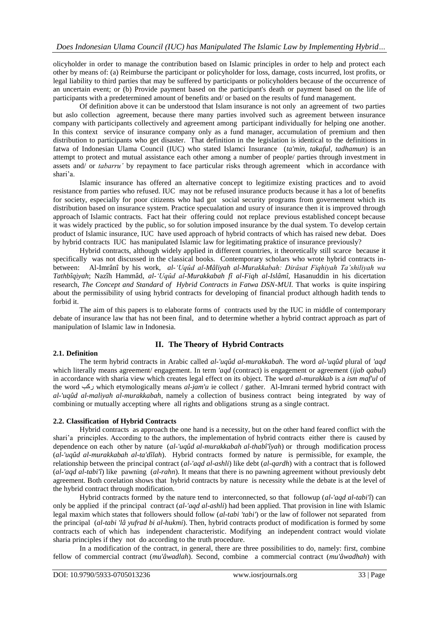olicyholder in order to manage the contribution based on Islamic principles in order to help and protect each other by means of: (a) Reimburse the participant or policyholder for loss, damage, costs incurred, lost profits, or legal liability to third parties that may be suffered by participants or policyholders because of the occurrence of an uncertain event; or (b) Provide payment based on the participant's death or payment based on the life of participants with a predetermined amount of benefits and/ or based on the results of fund management.

Of definition above it can be understood that Islam insurance is not only an agreement of two parties but aslo collection agreement, because there many parties involved such as agreement between insurance company with participants collectively and agreement among participant individually for helping one another. In this context service of insurance company only as a fund manager, accumulation of premium and then distribution to participants who get disaster. That definition in the legislation is identical to the definitions in fatwa of Indonesian Ulama Council (IUC) who stated Islamci Insurance (*ta'min, takaful, tadhamun*) is an attempt to protect and mutual assistance each other among a number of people/ parties through investment in assets and/ or *tabarru'* by repayment to face particular risks through agremeent which in accordance with shari'a.

Islamic insurance has offered an alternative concept to legitimize existing practices and to avoid resistance from parties who refused. IUC may not be refused insurance products because it has a lot of benefits for society, especially for poor citizents who had got social security programs from governement which its distribution based on insurance system. Practice specualation and usury of insurance then it is improved through approach of Islamic contracts. Fact hat their offering could not replace previous established concept because it was widely practiced by the public, so for solution imposed insurance by the dual system. To develop certain product of Islamic insurance, IUC have used approach of hybrid contracts of which has raised new debat. Does by hybrid contracts IUC has manipulated Islamic law for legitimating praktice of insurance previously?

Hybrid contracts, although widely applied in different countries, it theoretically still scarce because it specifically was not discussed in the classical books. Contemporary scholars who wrote hybrid contracts inbetween: Al-Imrânî by his work, *al-'Uqûd al-Mâliyah al-Murakkabah: Dirâsat Fiqhiyah Ta'shiliyah wa Tathbîqiyah*; Nazîh Hammâd, *al-'Uqûd al-Murakkabah fî al-Fiqh al-Islâmî,* Hasanuddin in his dicertation research, *The Concept and Standard of Hybrid Contracts in Fatwa DSN-MUI*. That works is quite inspiring about the permissibility of using hybrid contracts for developing of financial product although hadith tends to forbid it.

The aim of this papers is to elaborate forms of contracts used by the IUC in middle of contemporary debate of insurance law that has not been final, and to determine whether a hybrid contract approach as part of manipulation of Islamic law in Indonesia.

#### **2.1. Definition**

# **II. The Theory of Hybrid Contracts**

The term hybrid contracts in Arabic called *al-'uqûd al-murakkabah*. The word *al-'uqûd* plural of *'aqd* which literally means agreement/ engagement. In term *'aqd* (contract) is engagement or agreement *(ijab qabul)* in accordance with sharia view which creates legal effect on its object. The word *al-murakkab* is a *ism maf'ul* of the word ركب which etymologically means *al-jam'u* ie collect / gather. Al-Imrani termed hybrid contract with *al-'uqûd al-maliyah al-murakkabah*, namely a collection of business contract being integrated by way of combining or mutually accepting where all rights and obligations strung as a single contract.

#### **2.2. Classification of Hybrid Contracts**

Hybrid contracts as approach the one hand is a necessity, but on the other hand feared conflict with the shari'a principles. According to the authors, the implementation of hybrid contracts either there is caused by dependence on each other by nature (*al-'uqûd al-murakkabah al-thabî'îyah*) or through modification process (*al-'uqûd al-murakkabah al-ta'dîlah*). Hybrid contracts formed by nature is permissible, for example, the relationship between the principal contract (*al-'aqd al-ashli*) like debt (*al-qardh*) with a contract that is followed (*al-'aqd al-tabi'î*) like pawning (*al-rahn*). It means that there is no pawning agreement without previously debt agreement. Both corelation shows that hybrid contracts by nature is necessity while the debate is at the level of the hybrid contract through modification.

Hybrid contracts formed by the nature tend to interconnected, so that followup (*al-'aqd al-tabi'î*) can only be applied if the principal contract (*al-'aqd al-ashli*) had been applied. That provision in line with Islamic legal maxim which states that followers should follow (*al-tabi 'tabi'*) or the law of follower not separated from the principal (*al-tabi 'lâ yufrad bi al-hukmi*). Then, hybrid contracts product of modification is formed by some contracts each of which has independent characteristic. Modifying an independent contract would violate sharia principles if they not do according to the truth procedure.

In a modification of the contract, in general, there are three possibilities to do, namely: first, combine fellow of commercial contract (*mu'âwadlah*). Second, combine a commercial contract (*mu'âwadhah*) with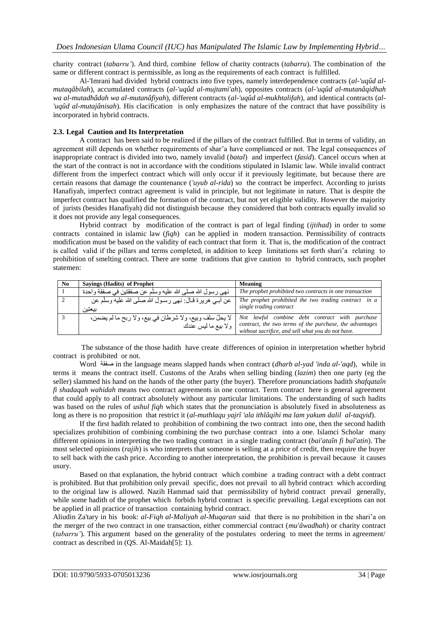charity contract (*tabarru'*). And third, combine fellow of charity contracts (*tabarru*). The combination of the same or different contract is permissible, as long as the requirements of each contract is fulfilled.

Al-'Imrani had divided hybrid contracts into five types, namely interdependence contracts (*al-'uqûd almutaqâbilah*), accumulated contracts (*al-'uqûd al-mujtami'ah*), opposites contracts (*al-'uqûd al-mutanâqidhah wa al-mutadhâdah wa al-mutanâfiyah*), different contracts (*al-'uqûd al-mukhtalifah*), and identical contracts (*al- 'uqûd al-mutajânisah*). His clacification is only emphasizes the nature of the contract that have possibility is incorporated in hybrid contracts.

#### **2.3. Legal Caution and Its Interpretation**

A contract has been said to be realized if the pillars of the contract fulfilled. But in terms of validity, an agreement still depends on whether requirements of shar'a have complianced or not. The legal consequences of inappropriate contract is divided into two, namely invalid (*batal*) and imperfect (*fasid*). Cancel occurs when at the start of the contract is not in accordance with the conditions stipulated in Islamic law. While invalid contract different from the imperfect contract which will only occur if it previously legitimate, but because there are certain reasons that damage the countenance (*'uyub al-rida*) so the contract be imperfect. According to jurists Hanafiyah, imperfect contract agreement is valid in principle, but not legitimate in nature. That is despite the imperfect contract has qualified the formation of the contract, but not yet eligible validity. However the majority of jurists (besides Hanafiyah) did not distinguish because they considered that both contracts equally invalid so it does not provide any legal consequences.

Hybrid contract by modification of the contract is part of legal finding (*ijtihad*) in order to some contracts contained in islamic law (*fiqh*) can be applied in modern transaction. Permissibility of contracts modification must be based on the validity of each contract that form it. That is, the modification of the contract is called valid if the pillars and terms completed, in addition to keep limitations set forth shari'a relating to prohibition of smelting contract. There are some traditions that give caution to hybrid contracts, such prophet statemen:

| N <sub>0</sub> | <b>Savings (Hadits) of Prophet</b>                               | Meaning                                                 |  |
|----------------|------------------------------------------------------------------|---------------------------------------------------------|--|
|                | نهي رسول الله صلى الله عليه وسلَّم عن صفقتين في صفقة واحدة       | The prophet prohibited two contracts in one transaction |  |
|                | عن أبــي هريرة قــال: نـهي رسـول الله صلـَّى الله عليه وسلَّم عن | The prophet prohibited the two trading contract in a    |  |
|                | ببعثين                                                           | single trading contract                                 |  |
|                | لا يحلُّ سلَّف وبيع، ولا شرطان في بيع، ولا ربح ما لم يضمن،       | Not lawful combine debt contract with purchase          |  |
|                | ولا بيع ما ليس عُندك                                             | contract, the two terms of the purchase, the advantages |  |
|                |                                                                  | without sacrifice, and sell what you do not have.       |  |

The substance of the those hadith have create differences of opinion in interpretation whether hybrid contract is prohibited or not.

Word صفقة in the language means slapped hands when contract (*dharb al-yad 'inda al-'aqd*), while in terms it means the contract itself. Customs of the Arabs when selling binding (*lazim*) then one party (eg the seller) slammed his hand on the hands of the other party (the buyer). Therefore pronunciations hadith *shafqataîn fi shadaqah wahidah* means two contract agreements in one contract. Term contract here is general agreement that could apply to all contract absolutely without any particular limitations. The understanding of such hadits was based on the rules of *ushul fiqh* which states that the pronunciation is absolutely fixed in absoluteness as long as there is no proposition that restrict it (*al-muthlaqu yajrî 'ala ithlâqihi ma lam yakum dalil al-taqyid*).

If the first hadith related to prohibition of combining the two contract into one, then the second hadith specializes prohibition of combining combining the two purchase contract into a one. Islamci Scholar many different opinions in interpreting the two trading contract in a single trading contract (*bai'ataîn fi baî'atin*). The most selected opinions (*rajih*) is who interprets that someone is selling at a price of credit, then require the buyer to sell back with the cash price. According to another interpretation, the prohibition is prevail because it causes usury.

Based on that explanation, the hybrid contract which combine a trading contract with a debt contract is prohibited. But that prohibition only prevail specific, does not prevail to all hybrid contract which according to the original law is allowed. Nazih Hammad said that permissibility of hybrid contract prevail generally, while some hadith of the prophet which forbids hybrid contract is specific prevailing. Legal exceptions can not be applied in all practice of transaction containing hybrid contract.

Aliudin Za'tary in his book: *al-Fiqh al-Maliyah al-Muqaran* said that there is no prohibition in the shari'a on the merger of the two contract in one transaction, either commercial contract (*mu'âwadhah*) or charity contract (*tabarru'*). This argument based on the generality of the postulates ordering to meet the terms in agreement/ contract as described in (QS. Al-Maidah[5]: 1).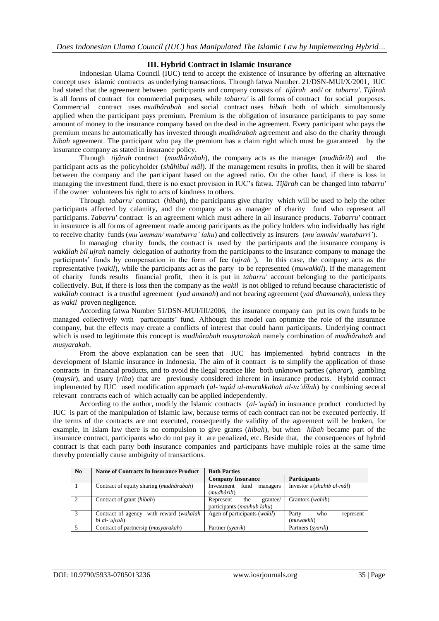# **III. Hybrid Contract in Islamic Insurance**

Indonesian Ulama Council (IUC) tend to accept the existence of insurance by offering an alternative concept uses islamic contracts as underlying transactions. Through fatwa Number. 21/DSN-MUI/X/2001, IUC had stated that the agreement between participants and company consists of *tijârah* and/ or *tabarru'*. *Tijârah*  is all forms of contract for commercial purposes, while *tabarru'* is all forms of contract for social purposes. Commercial contract uses *mudhârabah* and social contract uses *hibah* both of which simultanously applied when the participant pays premium. Premium is the obligation of insurance participants to pay some amount of money to the insurance company based on the deal in the agreement. Every participant who pays the premium means he automatically has invested through *mudhârabah* agreement and also do the charity through *hibah* agreement. The participant who pay the premium has a claim right which must be guaranteed by the insurance company as stated in insurance policy.

Through *tijârah* contract (*mudhârabah*), the company acts as the manager (*mudhârib*) and the participant acts as the policyholder (*shâhibul mâl*). If the management results in profits, then it will be shared between the company and the participant based on the agreed ratio. On the other hand, if there is loss in managing the investment fund, there is no exact provision in IUC's fatwa. *Tijârah* can be changed into *tabarru'* if the owner volunteers his right to acts of kindness to others.

Through *tabarru'* contract (*hibah*), the participants give charity which will be used to help the other participants affected by calamity, and the company acts as manager of charity fund who represent all participants. *Tabarru'* contract is an agreement which must adhere in all insurance products. *Tabarru'* contract in insurance is all forms of agreement made among paricipants as the policy holders who individually has right to receive charity funds (*mu'amman/ mutabarra' lahu*) and collectively as insurers (*mu'ammin/ mutabarri'*).

In managing charity funds, the contract is used by the participants and the insurance company is *wakâlah bil ujrah* namely delegation of authority from the participants to the insurance company to manage the participants' funds by compensation in the form of fee (*ujrah* ). In this case, the company acts as the representative (*wakil*), while the participants act as the party to be represented (*muwakkil*). If the management of charity funds results financial profit, then it is put in *tabarru'* account belonging to the participants collectively. But, if there is loss then the company as the *wakil* is not obliged to refund because characteristic of *wakâlah* contract is a trustful agreement (*yad amanah*) and not bearing agreement (*yad dhamanah*), unless they as *wakil* proven negligence.

According fatwa Number 51/DSN-MUI/III/2006, the insurance company can put its own funds to be managed collectively with participants' fund. Although this model can optimize the role of the insurance company, but the effects may create a conflicts of interest that could harm participants. Underlying contract which is used to legitimate this concept is *mudhârabah musytarakah* namely combination of *mudhârabah* and *musyarakah*.

From the above explanation can be seen that IUC has implemented hybrid contracts in the development of Islamic insurance in Indonesia. The aim of it contract is to simplify the application of those contracts in financial products, and to avoid the ilegal practice like both unknown parties (*gharar*), gambling (*maysir*), and usury (*riba*) that are previously considered inherent in insurance products. Hybrid contract implemented by IUC used modification approach (*al-'uqûd al-murakkabah al-ta'dîlah*) by combining seceral relevant contracts each of which actually can be applied independently.

According to the author, modify the Islamic contracts (*al-'uqûd*) in insurance product conducted by IUC is part of the manipulation of Islamic law, because terms of each contract can not be executed perfectly. If the terms of the contracts are not executed, consequently the validity of the agreement will be broken, for example, in Islam law there is no compulsion to give grants (*hibah*), but when *hibah* became part of the insurance contract, participants who do not pay it are penalized, etc. Beside that, the consequences of hybrid contract is that each party both insurance companies and participants have multiple roles at the same time thereby potentially cause ambiguity of transactions.

| N <sub>0</sub> | <b>Name of Contracts In Insurance Product</b>    | <b>Both Parties</b>            |                            |
|----------------|--------------------------------------------------|--------------------------------|----------------------------|
|                |                                                  | <b>Company Insurance</b>       | <b>Participants</b>        |
|                | Contract of equity sharing ( <i>mudhârabah</i> ) | fund<br>Investment<br>managers | Investor s (shahib al-mâl) |
|                |                                                  | (mudhârib)                     |                            |
|                | Contract of grant (hibah)                        | the<br>Represent<br>grantee/   | Grantors (wahib)           |
|                |                                                  | participants (mauhub lahu)     |                            |
|                | Contract of agency with reward (wakalah)         | Agen of participants (wakil)   | Party<br>who<br>represent  |
|                | bi al-'ujrah)                                    |                                | (muwakkil)                 |
|                | Contract of partnersip (musyarakah)              | Partner (svarik)               | Partners (syarik)          |